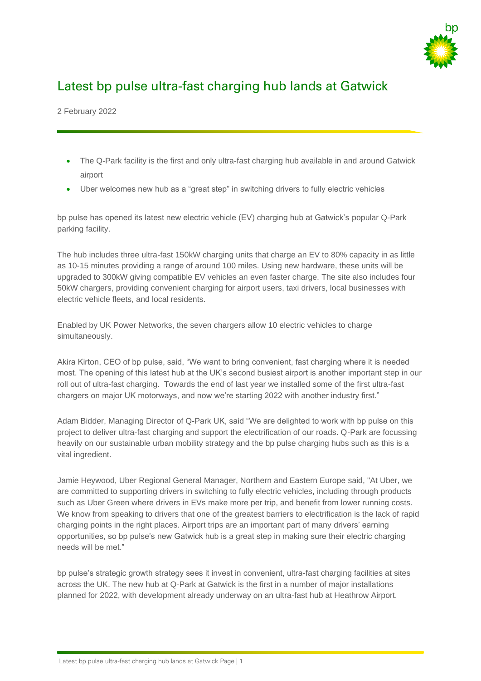

## Latest bp pulse ultra-fast charging hub lands at Gatwick

2 February 2022

- The Q-Park facility is the first and only ultra-fast charging hub available in and around Gatwick airport
- Uber welcomes new hub as a "great step" in switching drivers to fully electric vehicles

bp pulse has opened its latest new electric vehicle (EV) charging hub at Gatwick's popular Q-Park parking facility.

The hub includes three ultra-fast 150kW charging units that charge an EV to 80% capacity in as little as 10-15 minutes providing a range of around 100 miles. Using new hardware, these units will be upgraded to 300kW giving compatible EV vehicles an even faster charge. The site also includes four 50kW chargers, providing convenient charging for airport users, taxi drivers, local businesses with electric vehicle fleets, and local residents.

Enabled by UK Power Networks, the seven chargers allow 10 electric vehicles to charge simultaneously.

Akira Kirton, CEO of bp pulse, said, "We want to bring convenient, fast charging where it is needed most. The opening of this latest hub at the UK's second busiest airport is another important step in our roll out of ultra-fast charging. Towards the end of last year we installed some of the first ultra-fast chargers on major UK motorways, and now we're starting 2022 with another industry first."

Adam Bidder, Managing Director of Q-Park UK, said "We are delighted to work with bp pulse on this project to deliver ultra-fast charging and support the electrification of our roads. Q-Park are focussing heavily on our sustainable urban mobility strategy and the bp pulse charging hubs such as this is a vital ingredient.

Jamie Heywood, Uber Regional General Manager, Northern and Eastern Europe said, "At Uber, we are committed to supporting drivers in switching to fully electric vehicles, including through products such as Uber Green where drivers in EVs make more per trip, and benefit from lower running costs. We know from speaking to drivers that one of the greatest barriers to electrification is the lack of rapid charging points in the right places. Airport trips are an important part of many drivers' earning opportunities, so bp pulse's new Gatwick hub is a great step in making sure their electric charging needs will be met."

bp pulse's strategic growth strategy sees it invest in convenient, ultra-fast charging facilities at sites across the UK. The new hub at Q-Park at Gatwick is the first in a number of major installations planned for 2022, with development already underway on an ultra-fast hub at Heathrow Airport.